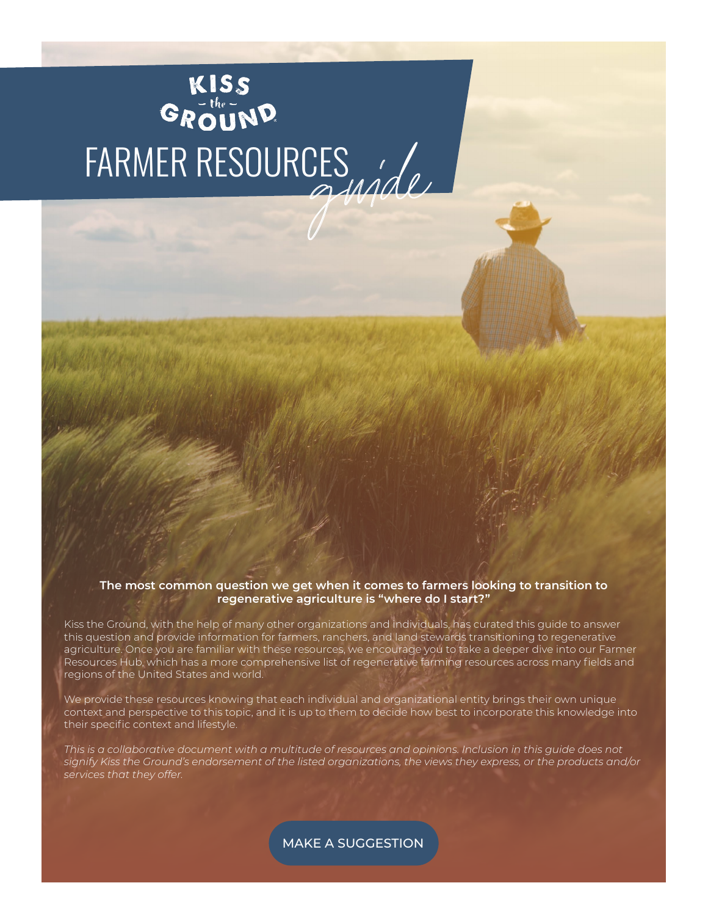# KISS<br>GROUND FARMER RESOURCES

#### **The most common question we get when it comes to farmers looking to transition to regenerative agriculture is "where do I start?"**

Kiss the Ground, with the help of many other organizations and individuals, has curated this guide to answer this question and provide information for farmers, ranchers, and land stewards transitioning to regenerative agriculture. Once you are familiar with these resources, we encourage you to take a deeper dive into our Farmer Resources Hub, which has a more comprehensive list of regenerative farming resources across many fields and regions of the United States and world.

We provide these resources knowing that each individual and organizational entity brings their own unique context and perspective to this topic, and it is up to them to decide how best to incorporate this knowledge into their specific context and lifestyle.

*This is a collaborative document with a multitude of resources and opinions. Inclusion in this guide does not signify Kiss the Ground's endorsement of the listed organizations, the views they express, or the products and/or services that they offer.*

MAKE A SUGGESTION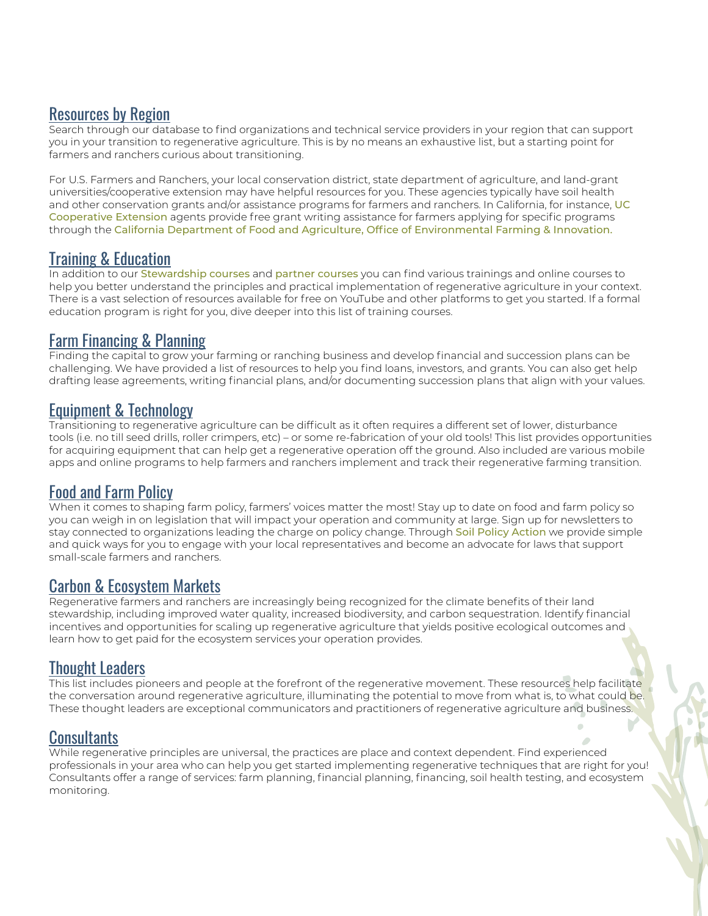#### [Resources by Region](https://docs.google.com/spreadsheets/d/1K4sRYxyGah5prYKoAiRxo_morYSgoFk1PWs0oTTD8OU/edit?pli=1#gid=75915185)

Search through our database to find organizations and technical service providers in your region that can support you in your transition to regenerative agriculture. This is by no means an exhaustive list, but a starting point for farmers and ranchers curious about transitioning.

For U.S. Farmers and Ranchers, your local conservation district, state department of agriculture, and land-grant universities/cooperative extension may have helpful resources for you. These agencies typically have soil health and other conservation grants and/or assistance programs for farmers and ranchers. In California, for instance, UC [Cooperative Extension](https://ucanr.edu/About/Locations/) agents provide free grant writing assistance for farmers applying for specific programs through the [California Department of Food and Agriculture, Office of Environmental Farming & Innovation.](https://www.cdfa.ca.gov/oefi/)

# [Training & Education](https://docs.google.com/spreadsheets/d/1K4sRYxyGah5prYKoAiRxo_morYSgoFk1PWs0oTTD8OU/edit?pli=1#gid=1687706236)

In addition to our [Stewardship](https://kisstheground.com/stewardship/) [courses](https://kisstheground.com/partner-courses/) and partner courses you can find various trainings and online courses to help you better understand the principles and practical implementation of regenerative agriculture in your context. There is a vast selection of resources available for free on YouTube and other platforms to get you started. If a formal education program is right for you, dive deeper into this list of training courses.

#### [Farm Financing & Planning](https://docs.google.com/spreadsheets/d/1K4sRYxyGah5prYKoAiRxo_morYSgoFk1PWs0oTTD8OU/edit?pli=1#gid=2049927135)

Finding the capital to grow your farming or ranching business and develop financial and succession plans can be challenging. We have provided a list of resources to help you find loans, investors, and grants. You can also get help drafting lease agreements, writing financial plans, and/or documenting succession plans that align with your values.

# [Equipment & Technology](https://docs.google.com/spreadsheets/d/1K4sRYxyGah5prYKoAiRxo_morYSgoFk1PWs0oTTD8OU/edit?pli=1#gid=132757557)

Transitioning to regenerative agriculture can be difficult as it often requires a different set of lower, disturbance tools (i.e. no till seed drills, roller crimpers, etc) – or some re-fabrication of your old tools! This list provides opportunities for acquiring equipment that can help get a regenerative operation off the ground. Also included are various mobile apps and online programs to help farmers and ranchers implement and track their regenerative farming transition.

# [Food and Farm Policy](https://docs.google.com/spreadsheets/d/1K4sRYxyGah5prYKoAiRxo_morYSgoFk1PWs0oTTD8OU/edit?pli=1#gid=991763195)

When it comes to shaping farm policy, farmers' voices matter the most! Stay up to date on food and farm policy so you can weigh in on legislation that will impact your operation and community at large. Sign up for newsletters to stay connected to organizations leading the charge on policy change. Through [Soil Policy Action](http://soilpolicyaction.us) we provide simple and quick ways for you to engage with your local representatives and become an advocate for laws that support small-scale farmers and ranchers.

# [Carbon & Ecosystem Markets](https://docs.google.com/spreadsheets/d/1K4sRYxyGah5prYKoAiRxo_morYSgoFk1PWs0oTTD8OU/edit?pli=1#gid=383384037)

Regenerative farmers and ranchers are increasingly being recognized for the climate benefits of their land stewardship, including improved water quality, increased biodiversity, and carbon sequestration. Identify financial incentives and opportunities for scaling up regenerative agriculture that yields positive ecological outcomes and learn how to get paid for the ecosystem services your operation provides.

# [Thought Leaders](https://docs.google.com/spreadsheets/d/1K4sRYxyGah5prYKoAiRxo_morYSgoFk1PWs0oTTD8OU/edit?pli=1#gid=516199043)

This list includes pioneers and people at the forefront of the regenerative movement. These resources help facilitate the conversation around regenerative agriculture, illuminating the potential to move from what is, to what could be. These thought leaders are exceptional communicators and practitioners of regenerative agriculture and business.

# **[Consultants](https://docs.google.com/spreadsheets/d/1K4sRYxyGah5prYKoAiRxo_morYSgoFk1PWs0oTTD8OU/edit?pli=1#gid=954481804)**

While regenerative principles are universal, the practices are place and context dependent. Find experienced professionals in your area who can help you get started implementing regenerative techniques that are right for you! Consultants offer a range of services: farm planning, financial planning, financing, soil health testing, and ecosystem monitoring.